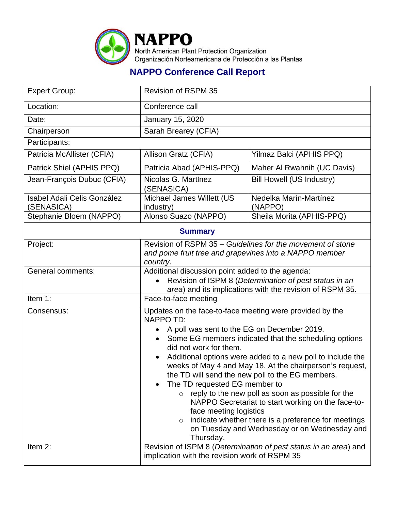

## **NAPPO Conference Call Report**

| <b>Expert Group:</b>                             | <b>Revision of RSPM 35</b>                                                                                                                                                                                                                                                                                                                                                                                                                                                                                                                                                                                                                                                                                             |                                   |  |  |
|--------------------------------------------------|------------------------------------------------------------------------------------------------------------------------------------------------------------------------------------------------------------------------------------------------------------------------------------------------------------------------------------------------------------------------------------------------------------------------------------------------------------------------------------------------------------------------------------------------------------------------------------------------------------------------------------------------------------------------------------------------------------------------|-----------------------------------|--|--|
| Location:                                        | Conference call                                                                                                                                                                                                                                                                                                                                                                                                                                                                                                                                                                                                                                                                                                        |                                   |  |  |
| Date:                                            | January 15, 2020                                                                                                                                                                                                                                                                                                                                                                                                                                                                                                                                                                                                                                                                                                       |                                   |  |  |
| Chairperson                                      | Sarah Brearey (CFIA)                                                                                                                                                                                                                                                                                                                                                                                                                                                                                                                                                                                                                                                                                                   |                                   |  |  |
| Participants:                                    |                                                                                                                                                                                                                                                                                                                                                                                                                                                                                                                                                                                                                                                                                                                        |                                   |  |  |
| Patricia McAllister (CFIA)                       | Allison Gratz (CFIA)                                                                                                                                                                                                                                                                                                                                                                                                                                                                                                                                                                                                                                                                                                   | Yilmaz Balci (APHIS PPQ)          |  |  |
| Patrick Shiel (APHIS PPQ)                        | Patricia Abad (APHIS-PPQ)                                                                                                                                                                                                                                                                                                                                                                                                                                                                                                                                                                                                                                                                                              | Maher Al Rwahnih (UC Davis)       |  |  |
| Jean-François Dubuc (CFIA)                       | Nicolas G. Martínez<br>(SENASICA)                                                                                                                                                                                                                                                                                                                                                                                                                                                                                                                                                                                                                                                                                      | <b>Bill Howell (US Industry)</b>  |  |  |
| <b>Isabel Adali Celis González</b><br>(SENASICA) | Michael James Willett (US<br>industry)                                                                                                                                                                                                                                                                                                                                                                                                                                                                                                                                                                                                                                                                                 | Nedelka Marín-Martínez<br>(NAPPO) |  |  |
| Stephanie Bloem (NAPPO)                          | Alonso Suazo (NAPPO)                                                                                                                                                                                                                                                                                                                                                                                                                                                                                                                                                                                                                                                                                                   | Sheila Morita (APHIS-PPQ)         |  |  |
| <b>Summary</b>                                   |                                                                                                                                                                                                                                                                                                                                                                                                                                                                                                                                                                                                                                                                                                                        |                                   |  |  |
| Project:                                         | Revision of RSPM 35 – Guidelines for the movement of stone<br>and pome fruit tree and grapevines into a NAPPO member<br>country.                                                                                                                                                                                                                                                                                                                                                                                                                                                                                                                                                                                       |                                   |  |  |
| <b>General comments:</b>                         | Additional discussion point added to the agenda:<br>Revision of ISPM 8 (Determination of pest status in an<br>area) and its implications with the revision of RSPM 35.                                                                                                                                                                                                                                                                                                                                                                                                                                                                                                                                                 |                                   |  |  |
| Item 1:                                          | Face-to-face meeting                                                                                                                                                                                                                                                                                                                                                                                                                                                                                                                                                                                                                                                                                                   |                                   |  |  |
| Consensus:                                       | Updates on the face-to-face meeting were provided by the<br><b>NAPPO TD:</b><br>A poll was sent to the EG on December 2019.<br>Some EG members indicated that the scheduling options<br>did not work for them.<br>Additional options were added to a new poll to include the<br>$\bullet$<br>weeks of May 4 and May 18. At the chairperson's request,<br>the TD will send the new poll to the EG members.<br>The TD requested EG member to<br>$\circ$ reply to the new poll as soon as possible for the<br>NAPPO Secretariat to start working on the face-to-<br>face meeting logistics<br>indicate whether there is a preference for meetings<br>$\circ$<br>on Tuesday and Wednesday or on Wednesday and<br>Thursday. |                                   |  |  |
| Item 2:                                          | Revision of ISPM 8 (Determination of pest status in an area) and<br>implication with the revision work of RSPM 35                                                                                                                                                                                                                                                                                                                                                                                                                                                                                                                                                                                                      |                                   |  |  |